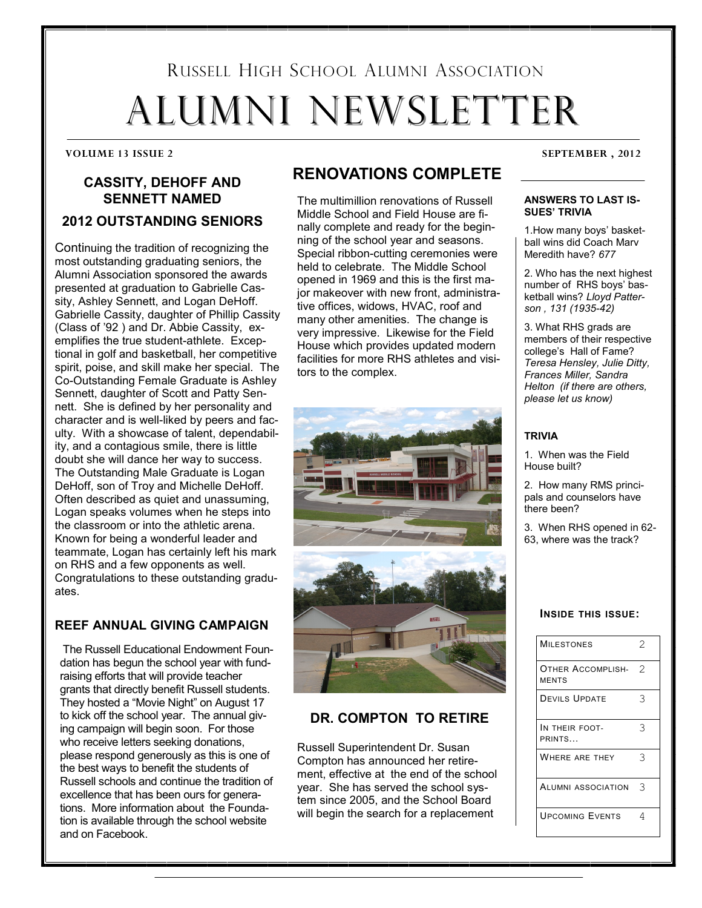# RUSSELL HIGH SCHOOL ALUMNI ASSOCIATION ALUMNI NEWSLETTER

# **CASSITY, DEHOFF AND SENNETT NAMED 2012 OUTSTANDING SENIORS**

Continuing the tradition of recognizing the most outstanding graduating seniors, the Alumni Association sponsored the awards presented at graduation to Gabrielle Cassity, Ashley Sennett, and Logan DeHoff. Gabrielle Cassity, daughter of Phillip Cassity (Class of '92 ) and Dr. Abbie Cassity, exemplifies the true student-athlete. Exceptional in golf and basketball, her competitive spirit, poise, and skill make her special. The Co-Outstanding Female Graduate is Ashley Sennett, daughter of Scott and Patty Sennett. She is defined by her personality and character and is well-liked by peers and faculty. With a showcase of talent, dependability, and a contagious smile, there is little doubt she will dance her way to success. The Outstanding Male Graduate is Logan DeHoff, son of Troy and Michelle DeHoff. Often described as quiet and unassuming, Logan speaks volumes when he steps into the classroom or into the athletic arena. Known for being a wonderful leader and teammate, Logan has certainly left his mark on RHS and a few opponents as well. Congratulations to these outstanding graduates.

#### **REEF ANNUAL GIVING CAMPAIGN**

The Russell Educational Endowment Foundation has begun the school year with fundraising efforts that will provide teacher grants that directly benefit Russell students. They hosted a "Movie Night" on August 17 to kick off the school year. The annual giving campaign will begin soon. For those who receive letters seeking donations, please respond generously as this is one of the best ways to benefit the students of Russell schools and continue the tradition of excellence that has been ours for generations. More information about the Foundation is available through the school website and on Facebook.

# **RENOVATIONS COMPLETE**

The multimillion renovations of Russell Middle School and Field House are finally complete and ready for the beginning of the school year and seasons. Special ribbon-cutting ceremonies were held to celebrate. The Middle School opened in 1969 and this is the first major makeover with new front, administrative offices, widows, HVAC, roof and many other amenities. The change is very impressive. Likewise for the Field House which provides updated modern facilities for more RHS athletes and visitors to the complex.





### **DR. COMPTON TO RETIRE**

Russell Superintendent Dr. Susan Compton has announced her retirement, effective at the end of the school year. She has served the school system since 2005, and the School Board will begin the search for a replacement

**VOLUME 13 ISSUE 2 SEPTEMBER , 2012**

#### **ANSWERS TO LAST IS-SUES' TRIVIA**

1.How many boys' basketball wins did Coach Marv Meredith have? *677*

2. Who has the next highest number of RHS boys' basketball wins? *Lloyd Patterson , 131 (1935-42)*

3. What RHS grads are members of their respective college's Hall of Fame? *Teresa Hensley, Julie Ditty, Frances Miller, Sandra Helton (if there are others, please let us know)*

#### **TRIVIA**

1. When was the Field House built?

2. How many RMS principals and counselors have there been?

3. When RHS opened in 62- 63, where was the track?

#### **INSIDE THIS ISSUE:**

| <b>MILESTONES</b>                        | 2             |
|------------------------------------------|---------------|
| <b>OTHER ACCOMPLISH-</b><br><b>MENTS</b> | $\mathcal{D}$ |
| <b>DEVILS UPDATE</b>                     | 3             |
| IN THEIR FOOT-<br>PRINTS                 | 3             |
| WHERE ARE THEY                           | 3             |
| ALUMNI ASSOCIATION                       | 3             |
| <b>UPCOMING EVENTS</b>                   | 4             |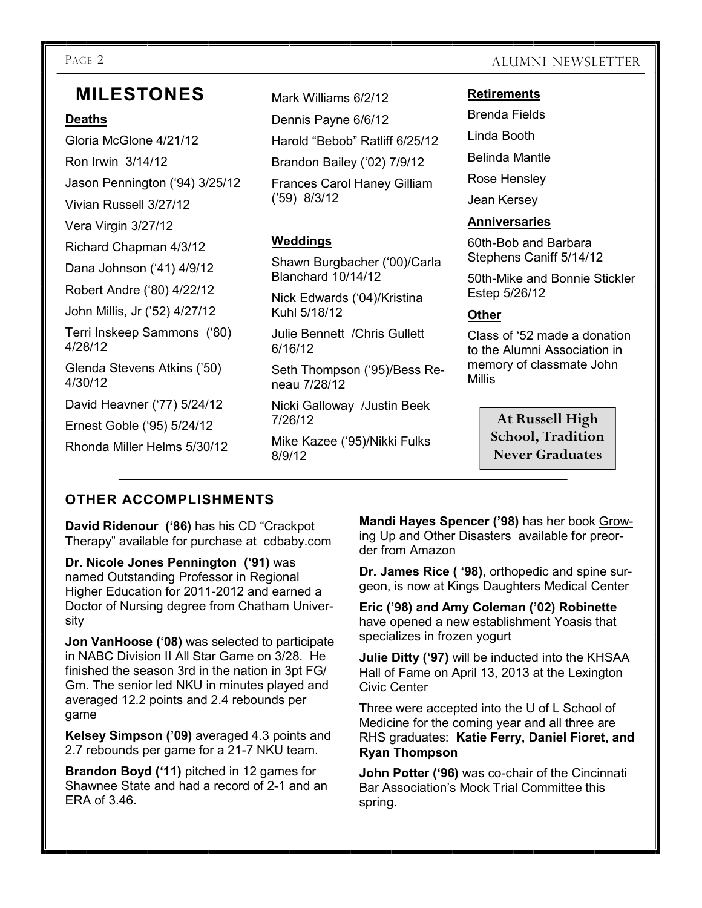# **MILESTONES**

### **Deaths**

Gloria McGlone 4/21/12 Ron Irwin 3/14/12 Jason Pennington ('94) 3/25/12

Vivian Russell 3/27/12

Vera Virgin 3/27/12

Richard Chapman 4/3/12

Dana Johnson ('41) 4/9/12

Robert Andre ('80) 4/22/12

John Millis, Jr ('52) 4/27/12

Terri Inskeep Sammons ('80) 4/28/12

Glenda Stevens Atkins ('50) 4/30/12

David Heavner ('77) 5/24/12

Ernest Goble ('95) 5/24/12

Rhonda Miller Helms 5/30/12

Mark Williams 6/2/12

Dennis Payne 6/6/12

Harold "Bebob" Ratliff 6/25/12

Brandon Bailey ('02) 7/9/12

Frances Carol Haney Gilliam ('59) 8/3/12

# **Weddings**

Shawn Burgbacher ('00)/Carla Blanchard 10/14/12

Nick Edwards ('04)/Kristina Kuhl 5/18/12

Julie Bennett /Chris Gullett 6/16/12

Seth Thompson ('95)/Bess Reneau 7/28/12

Nicki Galloway /Justin Beek 7/26/12

Mike Kazee ('95)/Nikki Fulks 8/9/12

# PAGE 2 ALUMNI NEWSLETTER

#### **Retirements**

Brenda Fields

Linda Booth

Belinda Mantle

Rose Hensley

Jean Kersey

### **Anniversaries**

60th-Bob and Barbara Stephens Caniff 5/14/12

50th-Mike and Bonnie Stickler Estep 5/26/12

# **Other**

Class of '52 made a donation to the Alumni Association in memory of classmate John **Millis** 

> **At Russell High School, Tradition Never Graduates**

# **OTHER ACCOMPLISHMENTS**

**David Ridenour ('86)** has his CD "Crackpot Therapy" available for purchase at cdbaby.com

**Dr. Nicole Jones Pennington ('91)** was named Outstanding Professor in Regional Higher Education for 2011-2012 and earned a Doctor of Nursing degree from Chatham University

**Jon VanHoose ('08)** was selected to participate in NABC Division II All Star Game on 3/28. He finished the season 3rd in the nation in 3pt FG/ Gm. The senior led NKU in minutes played and averaged 12.2 points and 2.4 rebounds per game

**Kelsey Simpson ('09)** averaged 4.3 points and 2.7 rebounds per game for a 21-7 NKU team.

**Brandon Boyd ('11)** pitched in 12 games for Shawnee State and had a record of 2-1 and an ERA of 3.46.

**Mandi Hayes Spencer ('98)** has her book Growing Up and Other Disasters available for preorder from Amazon

**Dr. James Rice ( '98)**, orthopedic and spine surgeon, is now at Kings Daughters Medical Center

**Eric ('98) and Amy Coleman ('02) Robinette**  have opened a new establishment Yoasis that specializes in frozen yogurt

**Julie Ditty ('97)** will be inducted into the KHSAA Hall of Fame on April 13, 2013 at the Lexington Civic Center

Three were accepted into the U of L School of Medicine for the coming year and all three are RHS graduates: **Katie Ferry, Daniel Fioret, and Ryan Thompson**

**John Potter ('96)** was co-chair of the Cincinnati Bar Association's Mock Trial Committee this spring.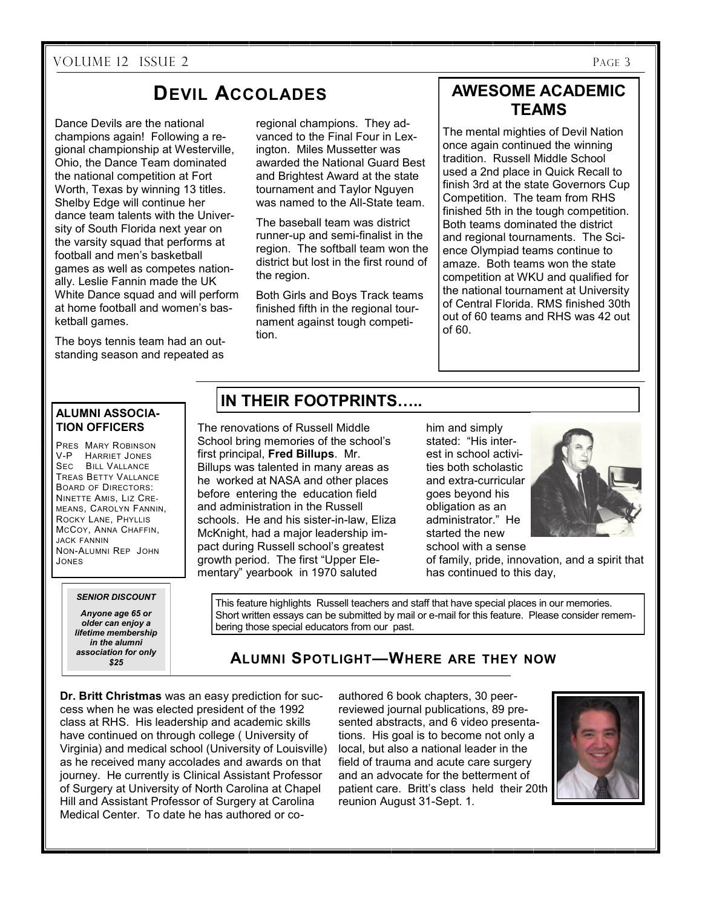#### VOLUME 12 ISSUE 2 PAGE 3

# **DEVIL ACCOLADES**

Dance Devils are the national champions again! Following a regional championship at Westerville, Ohio, the Dance Team dominated the national competition at Fort Worth, Texas by winning 13 titles. Shelby Edge will continue her dance team talents with the University of South Florida next year on the varsity squad that performs at football and men's basketball games as well as competes nationally. Leslie Fannin made the UK White Dance squad and will perform at home football and women's basketball games.

The boys tennis team had an outstanding season and repeated as

regional champions. They advanced to the Final Four in Lexington. Miles Mussetter was awarded the National Guard Best and Brightest Award at the state tournament and Taylor Nguyen was named to the All-State team.

The baseball team was district runner-up and semi-finalist in the region. The softball team won the district but lost in the first round of the region.

Both Girls and Boys Track teams finished fifth in the regional tournament against tough competition.

# **AWESOME ACADEMIC TEAMS**

The mental mighties of Devil Nation once again continued the winning tradition. Russell Middle School used a 2nd place in Quick Recall to finish 3rd at the state Governors Cup Competition. The team from RHS finished 5th in the tough competition. Both teams dominated the district and regional tournaments. The Science Olympiad teams continue to amaze. Both teams won the state competition at WKU and qualified for the national tournament at University of Central Florida. RMS finished 30th out of 60 teams and RHS was 42 out of 60.

#### **ALUMNI ASSOCIA-TION OFFICERS**

PRES MARY ROBINSON V-P HARRIET JONES SEC BILL VALLANCE TREAS BETTY VALLANCE BOARD OF DIRECTORS: NINETTE AMIS, LIZ CRE-MEANS, CAROLYN FANNIN, ROCKY LANE, PHYLLIS MCCOY, ANNA CHAFFIN, JACK FANNIN NON-ALUMNI REP JOHN JONES

#### *SENIOR DISCOUNT*

*Anyone age 65 or older can enjoy a lifetime membership in the alumni association for only \$25*

# **IN THEIR FOOTPRINTS…..**

The renovations of Russell Middle School bring memories of the school's first principal, **Fred Billups**. Mr. Billups was talented in many areas as he worked at NASA and other places before entering the education field and administration in the Russell schools. He and his sister-in-law, Eliza McKnight, had a major leadership impact during Russell school's greatest growth period. The first "Upper Elementary" yearbook in 1970 saluted

him and simply stated: "His interest in school activities both scholastic and extra-curricular goes beyond his obligation as an administrator." He started the new school with a sense



of family, pride, innovation, and a spirit that has continued to this day,

This feature highlights Russell teachers and staff that have special places in our memories. Short written essays can be submitted by mail or e-mail for this feature. Please consider remembering those special educators from our past.

# **ALUMNI SPOTLIGHT—WHERE ARE THEY NOW**

**Dr. Britt Christmas** was an easy prediction for success when he was elected president of the 1992 class at RHS. His leadership and academic skills have continued on through college ( University of Virginia) and medical school (University of Louisville) as he received many accolades and awards on that journey. He currently is Clinical Assistant Professor of Surgery at University of North Carolina at Chapel Hill and Assistant Professor of Surgery at Carolina Medical Center. To date he has authored or co-

authored 6 book chapters, 30 peerreviewed journal publications, 89 presented abstracts, and 6 video presentations. His goal is to become not only a local, but also a national leader in the field of trauma and acute care surgery and an advocate for the betterment of patient care. Britt's class held their 20th reunion August 31-Sept. 1.